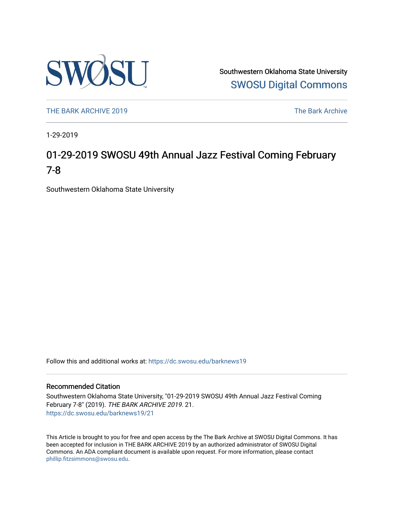

Southwestern Oklahoma State University [SWOSU Digital Commons](https://dc.swosu.edu/) 

[THE BARK ARCHIVE 2019](https://dc.swosu.edu/barknews19) The Bark Archive

1-29-2019

### 01-29-2019 SWOSU 49th Annual Jazz Festival Coming February 7-8

Southwestern Oklahoma State University

Follow this and additional works at: [https://dc.swosu.edu/barknews19](https://dc.swosu.edu/barknews19?utm_source=dc.swosu.edu%2Fbarknews19%2F21&utm_medium=PDF&utm_campaign=PDFCoverPages)

#### Recommended Citation

Southwestern Oklahoma State University, "01-29-2019 SWOSU 49th Annual Jazz Festival Coming February 7-8" (2019). THE BARK ARCHIVE 2019. 21. [https://dc.swosu.edu/barknews19/21](https://dc.swosu.edu/barknews19/21?utm_source=dc.swosu.edu%2Fbarknews19%2F21&utm_medium=PDF&utm_campaign=PDFCoverPages) 

This Article is brought to you for free and open access by the The Bark Archive at SWOSU Digital Commons. It has been accepted for inclusion in THE BARK ARCHIVE 2019 by an authorized administrator of SWOSU Digital Commons. An ADA compliant document is available upon request. For more information, please contact [phillip.fitzsimmons@swosu.edu](mailto:phillip.fitzsimmons@swosu.edu).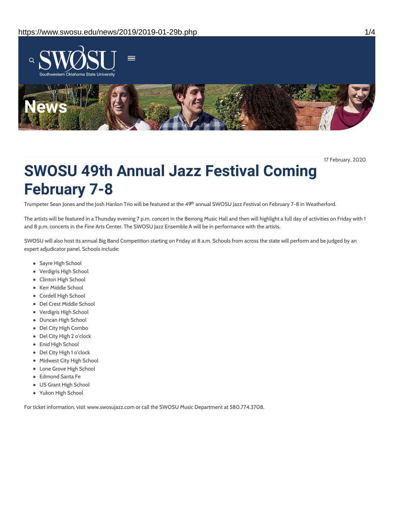

17 February, 2020

# **SWOSU 49th Annual Jazz Festival Coming February 7-8**

Trumpeter Sean Jones and the Josh Hanlon Trio will be featured at the 49<sup>th</sup> annual SWOSU Jazz Festival on February 7-8 in Weatherford.

The artists will be featured in a Thursday evening 7 p.m. concert in the Berrong Music Hall and then will highlight a full day of activities on Friday with 1 and 8 p.m. concerts in the Fine Arts Center. The SWOSU Jazz Ensemble A will be in performance with the artists.

SWOSU will also host its annual Big Band Competition starting on Friday at 8 a.m. Schools from across the state will perform and be judged by an expert adjudicator panel. Schools include:

- Sayre High School
- Verdigris High School
- Clinton High School
- Kerr Middle School
- Cordell High School
- Del Crest Middle School
- Verdigris High School
- Duncan High School
- Del City High Combo
- Del City High 2 o'clock
- Enid High School
- Del City High 1 o'clock
- Midwest City High School
- Lone Grove High School
- Edmond Santa Fe
- US Grant High School
- Yukon High School

For ticket information, visit www.swosujazz.com or call the SWOSU Music Department at 580.774.3708.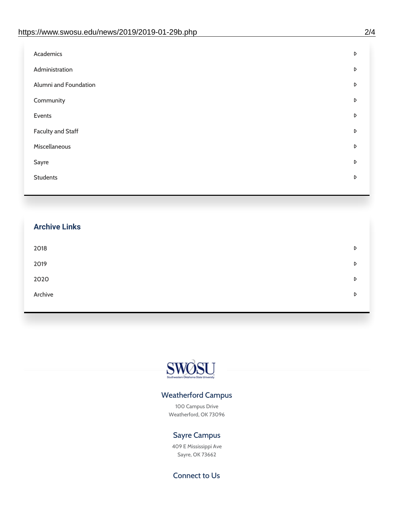| Academics                | D |
|--------------------------|---|
| Administration           | D |
| Alumni and Foundation    | D |
| Community                | D |
| Events                   | D |
| <b>Faculty and Staff</b> | D |
| Miscellaneous            | D |
| Sayre                    | D |
| <b>Students</b>          | D |

## **Archive Links**  $2018$  $2019$ [2020](https://www.swosu.edu/news/2020/index.php)  $\bullet$ [Archive](https://dc.swosu.edu/bark/) **Archive Archive Archive Archive Archive** Archive Archive Archive Archive Archive Archive Archive Archive



### Weatherford Campus

100 Campus Drive Weatherford, OK 73096

### Sayre Campus

409 E Mississippi Ave Sayre, OK 73662

Connect to Us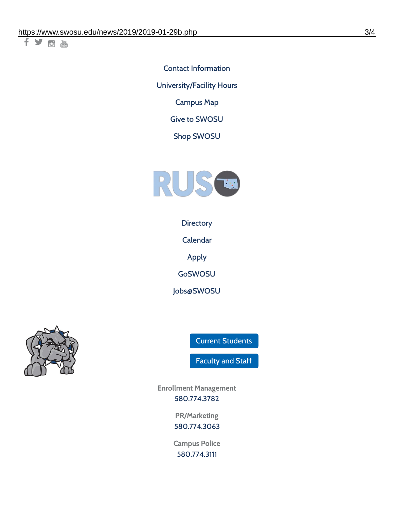千岁回调

Contact [Information](https://www.swosu.edu/about/contact.php) [University/Facility](https://www.swosu.edu/about/operating-hours.php) Hours [Campus](https://map.concept3d.com/?id=768#!ct/10964,10214,10213,10212,10205,10204,10203,10202,10136,10129,10128,0,31226,10130,10201,10641,0) Map

Give to [SWOSU](https://standingfirmly.com/donate)

Shop [SWOSU](https://shopswosu.merchorders.com/)



**[Directory](https://www.swosu.edu/directory/index.php)** 

[Calendar](https://eventpublisher.dudesolutions.com/swosu/)

[Apply](https://www.swosu.edu/admissions/apply-to-swosu.php)

[GoSWOSU](https://qlsso.quicklaunchsso.com/home/1267)

[Jobs@SWOSU](https://swosu.csod.com/ux/ats/careersite/1/home?c=swosu)



Current [Students](https://bulldog.swosu.edu/index.php)

[Faculty](https://bulldog.swosu.edu/faculty-staff/index.php) and Staff

**Enrollment Management** [580.774.3782](tel:5807743782)

> **PR/Marketing** [580.774.3063](tel:5807743063)

**Campus Police** [580.774.3111](tel:5807743111)